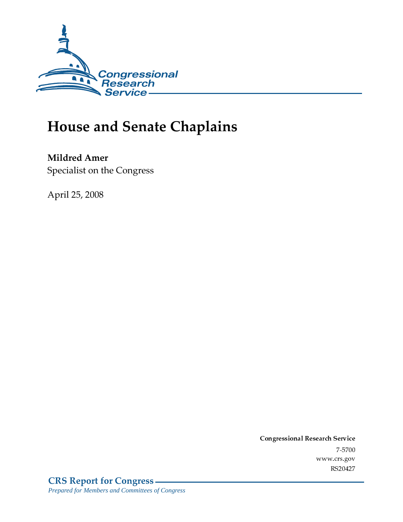

## **House and Senate Chaplains**

Mildred Amer

Specialist on the Congress

April 25, 2008

Conglessional Research Service  $7 - 2700$ www.cis.gov RS20427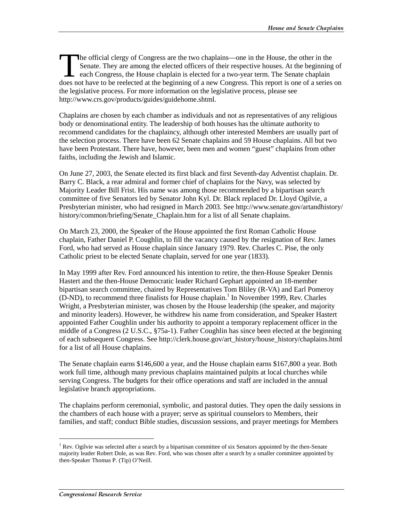he official clergy of Congress are the two chaplains—one in the House, the other in the Senate. They are among the elected officers of their respective houses. At the beginning of each Congress, the House chaplain is elected for a two-year term. The Senate chaplain The official clergy of Congress are the two chaplains—one in the House, the other in the Senate. They are among the elected officers of their respective houses. At the beginning of each Congress, the House chaplain is elec the legislative process. For more information on the legislative process, please see http://www.crs.gov/products/guides/guidehome.shtml.

Chaplains are chosen by each chamber as individuals and not as representatives of any religious body or denominational entity. The leadership of both houses has the ultimate authority to recommend candidates for the chaplaincy, although other interested Members are usually part of the selection process. There have been 62 Senate chaplains and 59 House chaplains. All but two have been Protestant. There have, however, been men and women "guest" chaplains from other faiths, including the Jewish and Islamic.

On June 27, 2003, the Senate elected its first black and first Seventh-day Adventist chaplain. Dr. Barry C. Black, a rear admiral and former chief of chaplains for the Navy, was selected by Majority Leader Bill Frist. His name was among those recommended by a bipartisan search committee of five Senators led by Senator John Kyl. Dr. Black replaced Dr. Lloyd Ogilvie, a Presbyterian minister, who had resigned in March 2003. See http://www.senate.gov/artandhistory/ history/common/briefing/Senate Chaplain.htm for a list of all Senate chaplains.

On March 23, 2000, the Speaker of the House appointed the first Roman Catholic House chaplain, Father Daniel P. Coughlin, to fill the vacancy caused by the resignation of Rev. James Ford, who had served as House chaplain since January 1979. Rev. Charles C. Pise, the only Catholic priest to be elected Senate chaplain, served for one year (1833).

In May 1999 after Rev. Ford announced his intention to retire, the then-House Speaker Dennis Hastert and the then-House Democratic leader Richard Gephart appointed an 18-member bipartisan search committee, chaired by Representatives Tom Bliley (R-VA) and Earl Pomeroy (D-ND), to recommend three finalists for House chaplain.<sup>1</sup> In November 1999, Rev. Charles Wright, a Presbyterian minister, was chosen by the House leadership (the speaker, and majority and minority leaders). However, he withdrew his name from consideration, and Speaker Hastert appointed Father Coughlin under his authority to appoint a temporary replacement officer in the middle of a Congress (2 U.S.C., §75a-1). Father Coughlin has since been elected at the beginning of each subsequent Congress. See http://clerk.house.gov/art\_history/house\_history/chaplains.html for a list of all House chaplains.

The Senate chaplain earns \$146,600 a year, and the House chaplain earns \$167,800 a year. Both work full time, although many previous chaplains maintained pulpits at local churches while serving Congress. The budgets for their office operations and staff are included in the annual legislative branch appropriations.

The chaplains perform ceremonial, symbolic, and pastoral duties. They open the daily sessions in the chambers of each house with a prayer; serve as spiritual counselors to Members, their families, and staff; conduct Bible studies, discussion sessions, and prayer meetings for Members

j

<sup>&</sup>lt;sup>1</sup> Rev. Ogilvie was selected after a search by a bipartisan committee of six Senators appointed by the then-Senate majority leader Robert Dole, as was Rev. Ford, who was chosen after a search by a smaller committee appointed by then-Speaker Thomas P. (Tip) O'Neill.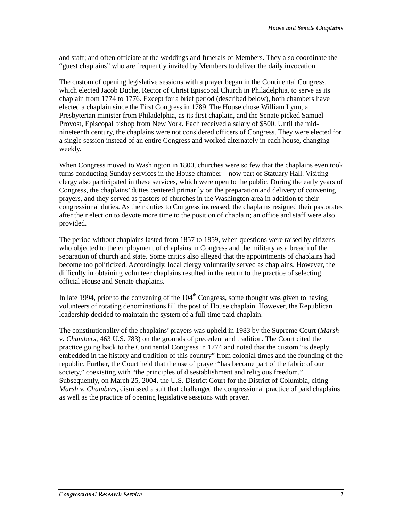and staff; and often officiate at the weddings and funerals of Members. They also coordinate the "guest chaplains" who are frequently invited by Members to deliver the daily invocation.

The custom of opening legislative sessions with a prayer began in the Continental Congress, which elected Jacob Duche, Rector of Christ Episcopal Church in Philadelphia, to serve as its chaplain from 1774 to 1776. Except for a brief period (described below), both chambers have elected a chaplain since the First Congress in 1789. The House chose William Lynn, a Presbyterian minister from Philadelphia, as its first chaplain, and the Senate picked Samuel Provost, Episcopal bishop from New York. Each received a salary of \$500. Until the midnineteenth century, the chaplains were not considered officers of Congress. They were elected for a single session instead of an entire Congress and worked alternately in each house, changing weekly.

When Congress moved to Washington in 1800, churches were so few that the chaplains even took turns conducting Sunday services in the House chamber—now part of Statuary Hall. Visiting clergy also participated in these services, which were open to the public. During the early years of Congress, the chaplains' duties centered primarily on the preparation and delivery of convening prayers, and they served as pastors of churches in the Washington area in addition to their congressional duties. As their duties to Congress increased, the chaplains resigned their pastorates after their election to devote more time to the position of chaplain; an office and staff were also provided.

The period without chaplains lasted from 1857 to 1859, when questions were raised by citizens who objected to the employment of chaplains in Congress and the military as a breach of the separation of church and state. Some critics also alleged that the appointments of chaplains had become too politicized. Accordingly, local clergy voluntarily served as chaplains. However, the difficulty in obtaining volunteer chaplains resulted in the return to the practice of selecting official House and Senate chaplains.

In late 1994, prior to the convening of the  $104<sup>th</sup>$  Congress, some thought was given to having volunteers of rotating denominations fill the post of House chaplain. However, the Republican leadership decided to maintain the system of a full-time paid chaplain.

The constitutionality of the chaplains' prayers was upheld in 1983 by the Supreme Court (*Marsh* v*. Chambers*, 463 U.S. 783) on the grounds of precedent and tradition. The Court cited the practice going back to the Continental Congress in 1774 and noted that the custom "is deeply embedded in the history and tradition of this country" from colonial times and the founding of the republic. Further, the Court held that the use of prayer "has become part of the fabric of our society," coexisting with "the principles of disestablishment and religious freedom." Subsequently, on March 25, 2004, the U.S. District Court for the District of Columbia, citing *Marsh* v. *Chambers*, dismissed a suit that challenged the congressional practice of paid chaplains as well as the practice of opening legislative sessions with prayer.